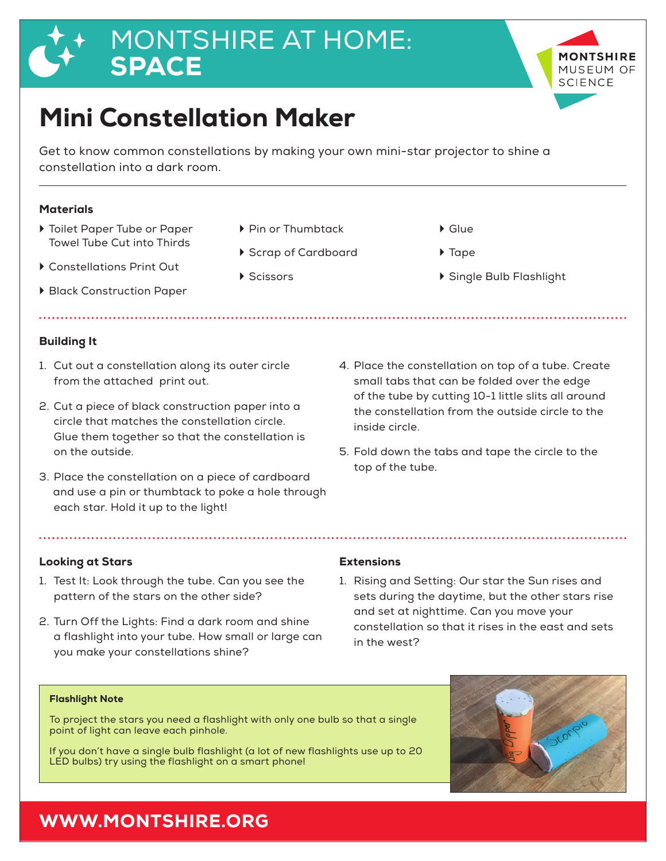# MONTSHIRE AT HOME: SPACE



Get to know common constellations by making your own mini-star projector to shine a constellation into a dark room.

## **Materials**

- $\triangleright$  Toilet Paper Tube or Paper Towel Tube Cut into Thirds
- ▶ Constellations Print Out
- ▶ Black Construction Paper

## Building It

- 1. Cut out a constellation along its outer circle from the attached print out.
- 2. Cut a piece of black construction paper into a circle that matches the constellation circle. Glue them together so that the constellation is on the outside.
- 3. Place the constellation on a piece of cardboard and use a pin or thumbtack to poke a hole through each star. Hold it up to the light!
- ▶ Pin or Thumbtack ` Scrap of Cardboard
- ▶ Scissors
- $\triangleright$  Glue
	- ▶ Tape
	- ▶ Single Bulb Flashlight

**TSHIRE** MUSFUM OF **SCIENCE** 

- 4. Place the constellation on top of a tube. Create small tabs that can be folded over the edge of the tube by cutting 10-1 little slits all around the constellation from the outside circle to the inside circle.
- 5. Fold down the tabs and tape the circle to the top of the tube.

### Looking at Stars **Extensions**

- 1. Test It: Look through the tube. Can you see the pattern of the stars on the other side?
- 2. Turn Off the Lights: Find a dark room and shine a flashlight into your tube. How small or large can you make your constellations shine?

1. Rising and Setting: Our star the Sun rises and sets during the daytime, but the other stars rise and set at nighttime. Can you move your constellation so that it rises in the east and sets in the west?

### Flashlight Note

To project the stars you need a flashlight with only one bulb so that a single point of light can leave each pinhole.

If you don't have a single bulb flashlight (a lot of new flashlights use up to 20 LED bulbs) try using the flashlight on a smart phone!



## WWW.MONTSHIRE.ORG